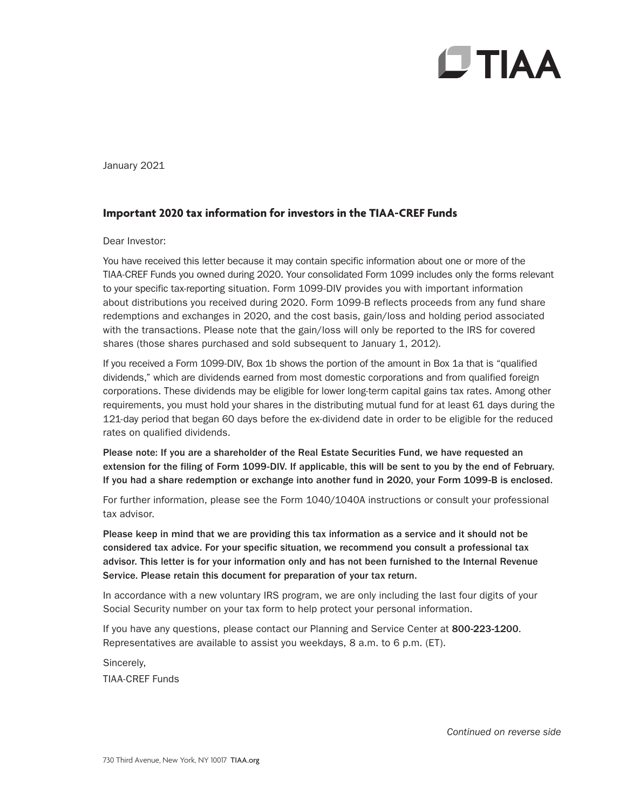## **CTIAA**

January 2021

## **Important 2020 tax information for investors in the TIAA-CREF Funds**

Dear Investor:

You have received this letter because it may contain specific information about one or more of the TIAA-CREF Funds you owned during 2020. Your consolidated Form 1099 includes only the forms relevant to your specific tax-reporting situation. Form 1099-DIV provides you with important information about distributions you received during 2020. Form 1099-B reflects proceeds from any fund share redemptions and exchanges in 2020, and the cost basis, gain/loss and holding period associated with the transactions. Please note that the gain/loss will only be reported to the IRS for covered shares (those shares purchased and sold subsequent to January 1, 2012).

If you received a Form 1099-DIV, Box 1b shows the portion of the amount in Box 1a that is "qualified dividends," which are dividends earned from most domestic corporations and from qualified foreign corporations. These dividends may be eligible for lower long-term capital gains tax rates. Among other requirements, you must hold your shares in the distributing mutual fund for at least 61 days during the 121-day period that began 60 days before the ex-dividend date in order to be eligible for the reduced rates on qualified dividends.

Please note: If you are a shareholder of the Real Estate Securities Fund, we have requested an extension for the filing of Form 1099-DIV. If applicable, this will be sent to you by the end of February. If you had a share redemption or exchange into another fund in 2020, your Form 1099-B is enclosed.

For further information, please see the Form 1040/1040A instructions or consult your professional tax advisor.

Please keep in mind that we are providing this tax information as a service and it should not be considered tax advice. For your specific situation, we recommend you consult a professional tax advisor. This letter is for your information only and has not been furnished to the Internal Revenue Service. Please retain this document for preparation of your tax return.

In accordance with a new voluntary IRS program, we are only including the last four digits of your Social Security number on your tax form to help protect your personal information.

If you have any questions, please contact our Planning and Service Center at 800-223-1200. Representatives are available to assist you weekdays, 8 a.m. to 6 p.m. (ET).

Sincerely, TIAA-CREF Funds

*Continued on reverse side*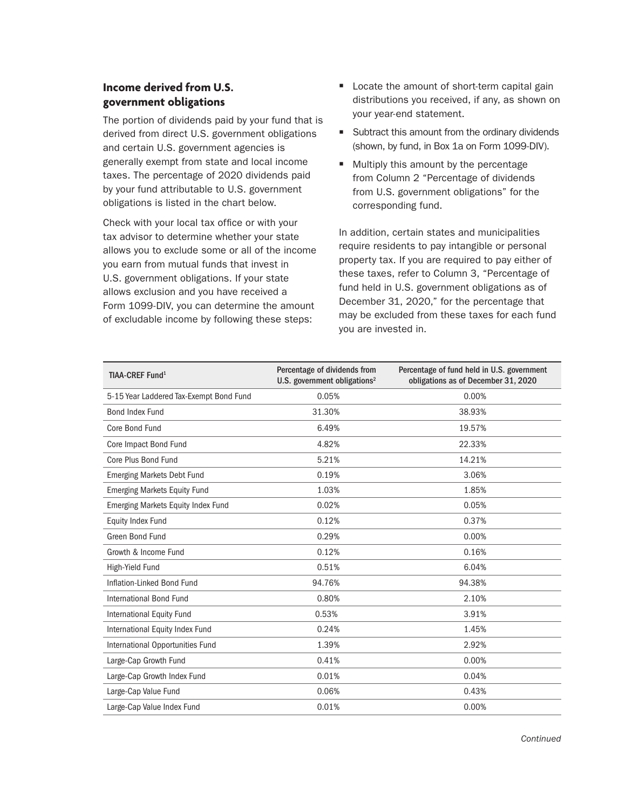## **Income derived from U.S. government obligations**

The portion of dividends paid by your fund that is derived from direct U.S. government obligations and certain U.S. government agencies is generally exempt from state and local income taxes. The percentage of 2020 dividends paid by your fund attributable to U.S. government obligations is listed in the chart below.

Check with your local tax office or with your tax advisor to determine whether your state allows you to exclude some or all of the income you earn from mutual funds that invest in U.S. government obligations. If your state allows exclusion and you have received a Form 1099-DIV, you can determine the amount of excludable income by following these steps:

- $\blacksquare$  Locate the amount of short-term capital gain distributions you received, if any, as shown on your year-end statement.
- $\blacksquare$  Subtract this amount from the ordinary dividends (shown, by fund, in Box 1a on Form 1099-DIV).
- $\blacksquare$  Multiply this amount by the percentage from Column 2 "Percentage of dividends from U.S. government obligations" for the corresponding fund.

In addition, certain states and municipalities require residents to pay intangible or personal property tax. If you are required to pay either of these taxes, refer to Column 3, "Percentage of fund held in U.S. government obligations as of December 31, 2020," for the percentage that may be excluded from these taxes for each fund you are invested in.

| TIAA-CREF Fund <sup>1</sup>             | Percentage of dividends from<br>U.S. government obligations <sup>2</sup> | Percentage of fund held in U.S. government<br>obligations as of December 31, 2020 |
|-----------------------------------------|--------------------------------------------------------------------------|-----------------------------------------------------------------------------------|
| 5-15 Year Laddered Tax-Exempt Bond Fund | 0.05%                                                                    | 0.00%                                                                             |
| <b>Bond Index Fund</b>                  | 31.30%                                                                   | 38.93%                                                                            |
| Core Bond Fund                          | 6.49%                                                                    | 19.57%                                                                            |
| Core Impact Bond Fund                   | 4.82%                                                                    | 22.33%                                                                            |
| Core Plus Bond Fund                     | 5.21%                                                                    | 14.21%                                                                            |
| <b>Emerging Markets Debt Fund</b>       | 0.19%                                                                    | 3.06%                                                                             |
| <b>Emerging Markets Equity Fund</b>     | 1.03%                                                                    | 1.85%                                                                             |
| Emerging Markets Equity Index Fund      | 0.02%                                                                    | 0.05%                                                                             |
| <b>Equity Index Fund</b>                | 0.12%                                                                    | 0.37%                                                                             |
| Green Bond Fund                         | 0.29%                                                                    | 0.00%                                                                             |
| Growth & Income Fund                    | 0.12%                                                                    | 0.16%                                                                             |
| High-Yield Fund                         | 0.51%                                                                    | 6.04%                                                                             |
| Inflation-Linked Bond Fund              | 94.76%                                                                   | 94.38%                                                                            |
| International Bond Fund                 | 0.80%                                                                    | 2.10%                                                                             |
| International Equity Fund               | 0.53%                                                                    | 3.91%                                                                             |
| International Equity Index Fund         | 0.24%                                                                    | 1.45%                                                                             |
| International Opportunities Fund        | 1.39%                                                                    | 2.92%                                                                             |
| Large-Cap Growth Fund                   | 0.41%                                                                    | 0.00%                                                                             |
| Large-Cap Growth Index Fund             | 0.01%                                                                    | 0.04%                                                                             |
| Large-Cap Value Fund                    | 0.06%                                                                    | 0.43%                                                                             |
| Large-Cap Value Index Fund              | 0.01%                                                                    | 0.00%                                                                             |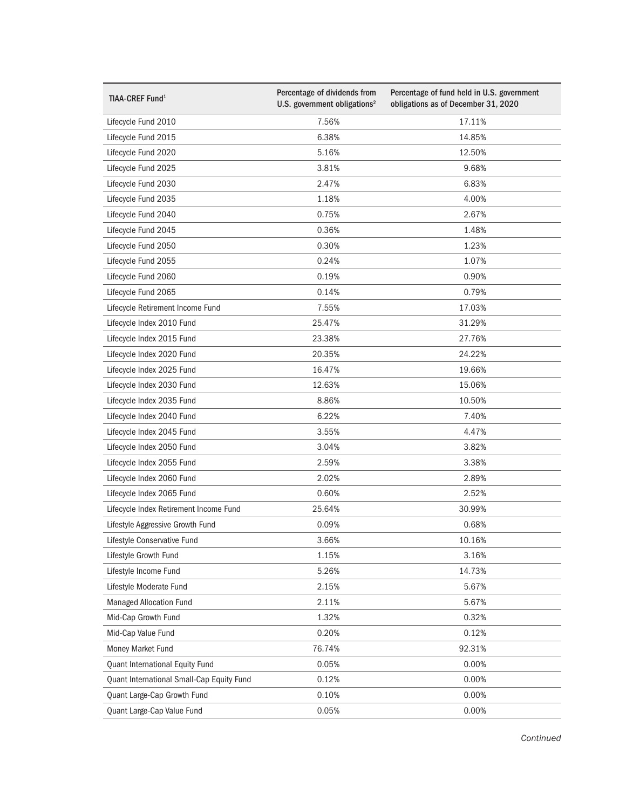| TIAA-CREF Fund <sup>1</sup>               | Percentage of dividends from<br>U.S. government obligations <sup>2</sup> | Percentage of fund held in U.S. government<br>obligations as of December 31, 2020 |
|-------------------------------------------|--------------------------------------------------------------------------|-----------------------------------------------------------------------------------|
| Lifecycle Fund 2010                       | 7.56%                                                                    | 17.11%                                                                            |
| Lifecycle Fund 2015                       | 6.38%                                                                    | 14.85%                                                                            |
| Lifecycle Fund 2020                       | 5.16%                                                                    | 12.50%                                                                            |
| Lifecycle Fund 2025                       | 3.81%                                                                    | 9.68%                                                                             |
| Lifecycle Fund 2030                       | 2.47%                                                                    | 6.83%                                                                             |
| Lifecycle Fund 2035                       | 1.18%                                                                    | 4.00%                                                                             |
| Lifecycle Fund 2040                       | 0.75%                                                                    | 2.67%                                                                             |
| Lifecycle Fund 2045                       | 0.36%                                                                    | 1.48%                                                                             |
| Lifecycle Fund 2050                       | 0.30%                                                                    | 1.23%                                                                             |
| Lifecycle Fund 2055                       | 0.24%                                                                    | 1.07%                                                                             |
| Lifecycle Fund 2060                       | 0.19%                                                                    | 0.90%                                                                             |
| Lifecycle Fund 2065                       | 0.14%                                                                    | 0.79%                                                                             |
| Lifecycle Retirement Income Fund          | 7.55%                                                                    | 17.03%                                                                            |
| Lifecycle Index 2010 Fund                 | 25.47%                                                                   | 31.29%                                                                            |
| Lifecycle Index 2015 Fund                 | 23.38%                                                                   | 27.76%                                                                            |
| Lifecycle Index 2020 Fund                 | 20.35%                                                                   | 24.22%                                                                            |
| Lifecycle Index 2025 Fund                 | 16.47%                                                                   | 19.66%                                                                            |
| Lifecycle Index 2030 Fund                 | 12.63%                                                                   | 15.06%                                                                            |
| Lifecycle Index 2035 Fund                 | 8.86%                                                                    | 10.50%                                                                            |
| Lifecycle Index 2040 Fund                 | 6.22%                                                                    | 7.40%                                                                             |
| Lifecycle Index 2045 Fund                 | 3.55%                                                                    | 4.47%                                                                             |
| Lifecycle Index 2050 Fund                 | 3.04%                                                                    | 3.82%                                                                             |
| Lifecycle Index 2055 Fund                 | 2.59%                                                                    | 3.38%                                                                             |
| Lifecycle Index 2060 Fund                 | 2.02%                                                                    | 2.89%                                                                             |
| Lifecycle Index 2065 Fund                 | 0.60%                                                                    | 2.52%                                                                             |
| Lifecycle Index Retirement Income Fund    | 25.64%                                                                   | 30.99%                                                                            |
| Lifestyle Aggressive Growth Fund          | 0.09%                                                                    | 0.68%                                                                             |
| Lifestyle Conservative Fund               | 3.66%                                                                    | 10.16%                                                                            |
| Lifestyle Growth Fund                     | 1.15%                                                                    | 3.16%                                                                             |
| Lifestyle Income Fund                     | 5.26%                                                                    | 14.73%                                                                            |
| Lifestyle Moderate Fund                   | 2.15%                                                                    | 5.67%                                                                             |
| <b>Managed Allocation Fund</b>            | 2.11%                                                                    | 5.67%                                                                             |
| Mid-Cap Growth Fund                       | 1.32%                                                                    | 0.32%                                                                             |
| Mid-Cap Value Fund                        | 0.20%                                                                    | 0.12%                                                                             |
| Money Market Fund                         | 76.74%                                                                   | 92.31%                                                                            |
| <b>Quant International Equity Fund</b>    | 0.05%                                                                    | 0.00%                                                                             |
| Quant International Small-Cap Equity Fund | 0.12%                                                                    | 0.00%                                                                             |
| Quant Large-Cap Growth Fund               | 0.10%                                                                    | 0.00%                                                                             |
| Quant Large-Cap Value Fund                | 0.05%                                                                    | 0.00%                                                                             |